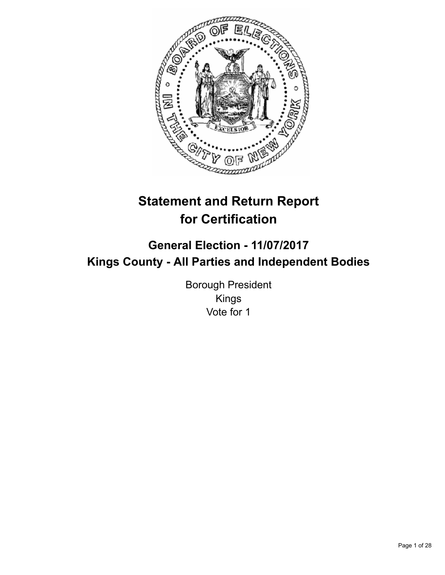

# **Statement and Return Report for Certification**

# **General Election - 11/07/2017 Kings County - All Parties and Independent Bodies**

Borough President Kings Vote for 1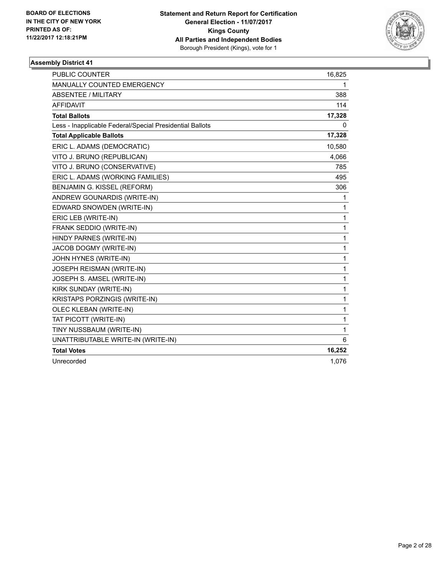

| <b>PUBLIC COUNTER</b>                                    | 16,825 |
|----------------------------------------------------------|--------|
| <b>MANUALLY COUNTED EMERGENCY</b>                        | 1      |
| ABSENTEE / MILITARY                                      | 388    |
| <b>AFFIDAVIT</b>                                         | 114    |
| <b>Total Ballots</b>                                     | 17,328 |
| Less - Inapplicable Federal/Special Presidential Ballots | 0      |
| <b>Total Applicable Ballots</b>                          | 17,328 |
| ERIC L. ADAMS (DEMOCRATIC)                               | 10,580 |
| VITO J. BRUNO (REPUBLICAN)                               | 4,066  |
| VITO J. BRUNO (CONSERVATIVE)                             | 785    |
| ERIC L. ADAMS (WORKING FAMILIES)                         | 495    |
| BENJAMIN G. KISSEL (REFORM)                              | 306    |
| ANDREW GOUNARDIS (WRITE-IN)                              | 1      |
| EDWARD SNOWDEN (WRITE-IN)                                | 1      |
| ERIC LEB (WRITE-IN)                                      | 1      |
| FRANK SEDDIO (WRITE-IN)                                  | 1      |
| HINDY PARNES (WRITE-IN)                                  | 1      |
| JACOB DOGMY (WRITE-IN)                                   | 1      |
| JOHN HYNES (WRITE-IN)                                    | 1      |
| JOSEPH REISMAN (WRITE-IN)                                | 1      |
| JOSEPH S. AMSEL (WRITE-IN)                               | 1      |
| KIRK SUNDAY (WRITE-IN)                                   | 1      |
| KRISTAPS PORZINGIS (WRITE-IN)                            | 1      |
| OLEC KLEBAN (WRITE-IN)                                   | 1      |
| TAT PICOTT (WRITE-IN)                                    | 1      |
| TINY NUSSBAUM (WRITE-IN)                                 | 1      |
| UNATTRIBUTABLE WRITE-IN (WRITE-IN)                       | 6      |
| <b>Total Votes</b>                                       | 16,252 |
| Unrecorded                                               | 1,076  |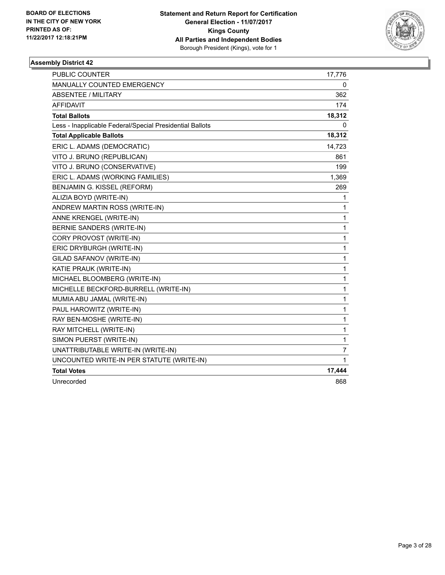

| PUBLIC COUNTER                                           | 17,776 |
|----------------------------------------------------------|--------|
| <b>MANUALLY COUNTED EMERGENCY</b>                        | 0      |
| <b>ABSENTEE / MILITARY</b>                               | 362    |
| <b>AFFIDAVIT</b>                                         | 174    |
| <b>Total Ballots</b>                                     | 18,312 |
| Less - Inapplicable Federal/Special Presidential Ballots | 0      |
| <b>Total Applicable Ballots</b>                          | 18,312 |
| ERIC L. ADAMS (DEMOCRATIC)                               | 14,723 |
| VITO J. BRUNO (REPUBLICAN)                               | 861    |
| VITO J. BRUNO (CONSERVATIVE)                             | 199    |
| ERIC L. ADAMS (WORKING FAMILIES)                         | 1,369  |
| BENJAMIN G. KISSEL (REFORM)                              | 269    |
| ALIZIA BOYD (WRITE-IN)                                   | 1      |
| ANDREW MARTIN ROSS (WRITE-IN)                            | 1      |
| ANNE KRENGEL (WRITE-IN)                                  | 1      |
| BERNIE SANDERS (WRITE-IN)                                | 1      |
| CORY PROVOST (WRITE-IN)                                  | 1      |
| ERIC DRYBURGH (WRITE-IN)                                 | 1      |
| GILAD SAFANOV (WRITE-IN)                                 | 1      |
| KATIE PRAUK (WRITE-IN)                                   | 1      |
| MICHAEL BLOOMBERG (WRITE-IN)                             | 1      |
| MICHELLE BECKFORD-BURRELL (WRITE-IN)                     | 1      |
| MUMIA ABU JAMAL (WRITE-IN)                               | 1      |
| PAUL HAROWITZ (WRITE-IN)                                 | 1      |
| RAY BEN-MOSHE (WRITE-IN)                                 | 1      |
| RAY MITCHELL (WRITE-IN)                                  | 1      |
| SIMON PUERST (WRITE-IN)                                  | 1      |
| UNATTRIBUTABLE WRITE-IN (WRITE-IN)                       | 7      |
| UNCOUNTED WRITE-IN PER STATUTE (WRITE-IN)                | 1      |
| <b>Total Votes</b>                                       | 17,444 |
| Unrecorded                                               | 868    |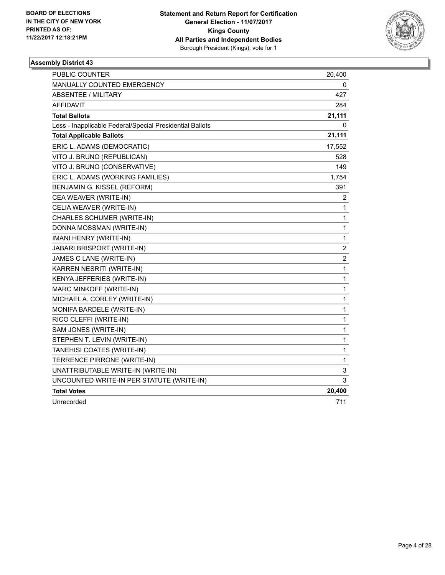

| PUBLIC COUNTER                                           | 20,400           |
|----------------------------------------------------------|------------------|
| MANUALLY COUNTED EMERGENCY                               | 0                |
| <b>ABSENTEE / MILITARY</b>                               | 427              |
| AFFIDAVIT                                                | 284              |
| <b>Total Ballots</b>                                     | 21,111           |
| Less - Inapplicable Federal/Special Presidential Ballots | 0                |
| <b>Total Applicable Ballots</b>                          | 21,111           |
| ERIC L. ADAMS (DEMOCRATIC)                               | 17,552           |
| VITO J. BRUNO (REPUBLICAN)                               | 528              |
| VITO J. BRUNO (CONSERVATIVE)                             | 149              |
| ERIC L. ADAMS (WORKING FAMILIES)                         | 1,754            |
| BENJAMIN G. KISSEL (REFORM)                              | 391              |
| CEA WEAVER (WRITE-IN)                                    | 2                |
| CELIA WEAVER (WRITE-IN)                                  | 1                |
| CHARLES SCHUMER (WRITE-IN)                               | $\mathbf{1}$     |
| DONNA MOSSMAN (WRITE-IN)                                 | $\mathbf{1}$     |
| IMANI HENRY (WRITE-IN)                                   | $\mathbf{1}$     |
| JABARI BRISPORT (WRITE-IN)                               | $\boldsymbol{2}$ |
| JAMES C LANE (WRITE-IN)                                  | $\overline{c}$   |
| KARREN NESRITI (WRITE-IN)                                | $\mathbf{1}$     |
| KENYA JEFFERIES (WRITE-IN)                               | $\mathbf 1$      |
| MARC MINKOFF (WRITE-IN)                                  | $\mathbf{1}$     |
| MICHAEL A. CORLEY (WRITE-IN)                             | $\mathbf{1}$     |
| MONIFA BARDELE (WRITE-IN)                                | $\mathbf{1}$     |
| RICO CLEFFI (WRITE-IN)                                   | $\mathbf{1}$     |
| SAM JONES (WRITE-IN)                                     | $\mathbf{1}$     |
| STEPHEN T. LEVIN (WRITE-IN)                              | $\mathbf{1}$     |
| TANEHISI COATES (WRITE-IN)                               | $\mathbf{1}$     |
| TERRENCE PIRRONE (WRITE-IN)                              | $\mathbf{1}$     |
| UNATTRIBUTABLE WRITE-IN (WRITE-IN)                       | 3                |
| UNCOUNTED WRITE-IN PER STATUTE (WRITE-IN)                | 3                |
| <b>Total Votes</b>                                       | 20,400           |
| Unrecorded                                               | 711              |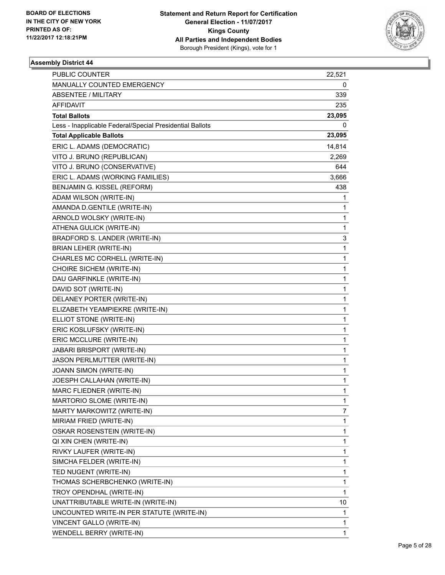

| <b>PUBLIC COUNTER</b>                                    | 22,521 |
|----------------------------------------------------------|--------|
| MANUALLY COUNTED EMERGENCY                               | 0      |
| ABSENTEE / MILITARY                                      | 339    |
| AFFIDAVIT                                                | 235    |
| <b>Total Ballots</b>                                     | 23,095 |
| Less - Inapplicable Federal/Special Presidential Ballots | 0      |
| <b>Total Applicable Ballots</b>                          | 23,095 |
| ERIC L. ADAMS (DEMOCRATIC)                               | 14,814 |
| VITO J. BRUNO (REPUBLICAN)                               | 2,269  |
| VITO J. BRUNO (CONSERVATIVE)                             | 644    |
| ERIC L. ADAMS (WORKING FAMILIES)                         | 3,666  |
| BENJAMIN G. KISSEL (REFORM)                              | 438    |
| ADAM WILSON (WRITE-IN)                                   | 1      |
| AMANDA D.GENTILE (WRITE-IN)                              | 1      |
| ARNOLD WOLSKY (WRITE-IN)                                 | 1      |
| ATHENA GULICK (WRITE-IN)                                 | 1      |
| BRADFORD S. LANDER (WRITE-IN)                            | 3      |
| <b>BRIAN LEHER (WRITE-IN)</b>                            | 1      |
| CHARLES MC CORHELL (WRITE-IN)                            | 1      |
| CHOIRE SICHEM (WRITE-IN)                                 | 1      |
| DAU GARFINKLE (WRITE-IN)                                 | 1      |
| DAVID SOT (WRITE-IN)                                     | 1      |
| DELANEY PORTER (WRITE-IN)                                | 1      |
| ELIZABETH YEAMPIEKRE (WRITE-IN)                          | 1      |
| ELLIOT STONE (WRITE-IN)                                  | 1      |
| ERIC KOSLUFSKY (WRITE-IN)                                | 1      |
| ERIC MCCLURE (WRITE-IN)                                  | 1      |
| JABARI BRISPORT (WRITE-IN)                               | 1      |
| JASON PERLMUTTER (WRITE-IN)                              | 1      |
| JOANN SIMON (WRITE-IN)                                   | 1      |
| JOESPH CALLAHAN (WRITE-IN)                               | 1      |
| MARC FLIEDNER (WRITE-IN)                                 | 1      |
| MARTORIO SLOME (WRITE-IN)                                | 1      |
| MARTY MARKOWITZ (WRITE-IN)                               | 7      |
| MIRIAM FRIED (WRITE-IN)                                  | 1      |
| OSKAR ROSENSTEIN (WRITE-IN)                              | 1      |
| QI XIN CHEN (WRITE-IN)                                   | 1      |
| RIVKY LAUFER (WRITE-IN)                                  | 1      |
| SIMCHA FELDER (WRITE-IN)                                 | 1      |
| TED NUGENT (WRITE-IN)                                    | 1      |
| THOMAS SCHERBCHENKO (WRITE-IN)                           | 1      |
| TROY OPENDHAL (WRITE-IN)                                 | 1      |
| UNATTRIBUTABLE WRITE-IN (WRITE-IN)                       | 10     |
| UNCOUNTED WRITE-IN PER STATUTE (WRITE-IN)                | 1      |
| VINCENT GALLO (WRITE-IN)                                 | 1      |
| WENDELL BERRY (WRITE-IN)                                 | 1      |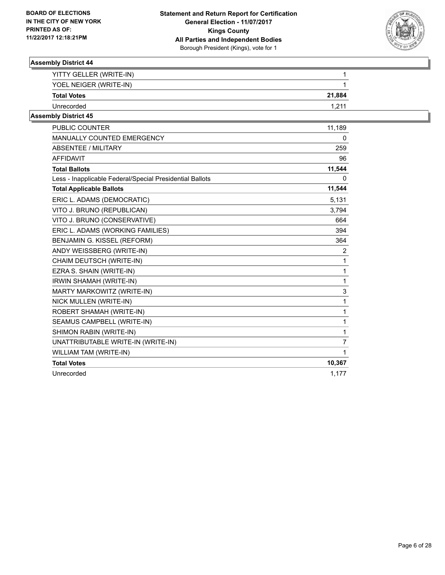

| YITTY GELLER (WRITE-IN) |        |
|-------------------------|--------|
| YOEL NEIGER (WRITE-IN)  |        |
| <b>Total Votes</b>      | 21,884 |
| Unrecorded              |        |

| <b>PUBLIC COUNTER</b>                                    | 11,189         |
|----------------------------------------------------------|----------------|
| <b>MANUALLY COUNTED EMERGENCY</b>                        | 0              |
| <b>ABSENTEE / MILITARY</b>                               | 259            |
| <b>AFFIDAVIT</b>                                         | 96             |
| <b>Total Ballots</b>                                     | 11,544         |
| Less - Inapplicable Federal/Special Presidential Ballots | 0              |
| <b>Total Applicable Ballots</b>                          | 11,544         |
| ERIC L. ADAMS (DEMOCRATIC)                               | 5,131          |
| VITO J. BRUNO (REPUBLICAN)                               | 3,794          |
| VITO J. BRUNO (CONSERVATIVE)                             | 664            |
| ERIC L. ADAMS (WORKING FAMILIES)                         | 394            |
| BENJAMIN G. KISSEL (REFORM)                              | 364            |
| ANDY WEISSBERG (WRITE-IN)                                | $\overline{2}$ |
| CHAIM DEUTSCH (WRITE-IN)                                 | $\mathbf{1}$   |
| EZRA S. SHAIN (WRITE-IN)                                 | $\mathbf{1}$   |
| IRWIN SHAMAH (WRITE-IN)                                  | $\mathbf{1}$   |
| MARTY MARKOWITZ (WRITE-IN)                               | 3              |
| NICK MULLEN (WRITE-IN)                                   | $\mathbf 1$    |
| ROBERT SHAMAH (WRITE-IN)                                 | $\mathbf 1$    |
| SEAMUS CAMPBELL (WRITE-IN)                               | $\mathbf{1}$   |
| SHIMON RABIN (WRITE-IN)                                  | $\mathbf{1}$   |
| UNATTRIBUTABLE WRITE-IN (WRITE-IN)                       | $\overline{7}$ |
| WILLIAM TAM (WRITE-IN)                                   | $\mathbf{1}$   |
| <b>Total Votes</b>                                       | 10,367         |
| Unrecorded                                               | 1,177          |
|                                                          |                |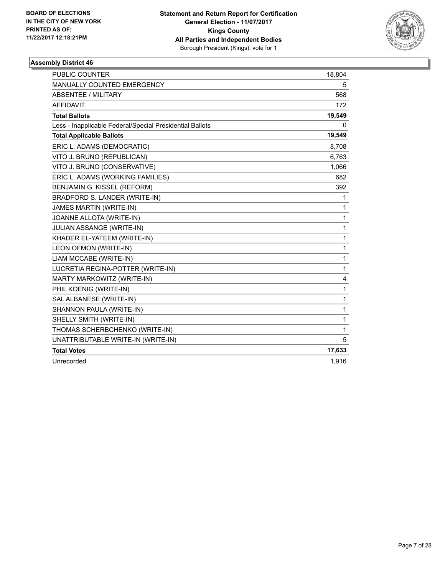

| <b>PUBLIC COUNTER</b>                                    | 18,804 |
|----------------------------------------------------------|--------|
| <b>MANUALLY COUNTED EMERGENCY</b>                        | 5      |
| <b>ABSENTEE / MILITARY</b>                               | 568    |
| <b>AFFIDAVIT</b>                                         | 172    |
| <b>Total Ballots</b>                                     | 19,549 |
| Less - Inapplicable Federal/Special Presidential Ballots | 0      |
| <b>Total Applicable Ballots</b>                          | 19,549 |
| ERIC L. ADAMS (DEMOCRATIC)                               | 8,708  |
| VITO J. BRUNO (REPUBLICAN)                               | 6,763  |
| VITO J. BRUNO (CONSERVATIVE)                             | 1,066  |
| ERIC L. ADAMS (WORKING FAMILIES)                         | 682    |
| BENJAMIN G. KISSEL (REFORM)                              | 392    |
| BRADFORD S. LANDER (WRITE-IN)                            | 1      |
| JAMES MARTIN (WRITE-IN)                                  | 1      |
| JOANNE ALLOTA (WRITE-IN)                                 | 1      |
| JULIAN ASSANGE (WRITE-IN)                                | 1      |
| KHADER EL-YATEEM (WRITE-IN)                              | 1      |
| LEON OFMON (WRITE-IN)                                    | 1      |
| LIAM MCCABE (WRITE-IN)                                   | 1      |
| LUCRETIA REGINA-POTTER (WRITE-IN)                        | 1      |
| MARTY MARKOWITZ (WRITE-IN)                               | 4      |
| PHIL KOENIG (WRITE-IN)                                   | 1      |
| SAL ALBANESE (WRITE-IN)                                  | 1      |
| SHANNON PAULA (WRITE-IN)                                 | 1      |
| SHELLY SMITH (WRITE-IN)                                  | 1      |
| THOMAS SCHERBCHENKO (WRITE-IN)                           | 1      |
| UNATTRIBUTABLE WRITE-IN (WRITE-IN)                       | 5      |
| <b>Total Votes</b>                                       | 17,633 |
| Unrecorded                                               | 1,916  |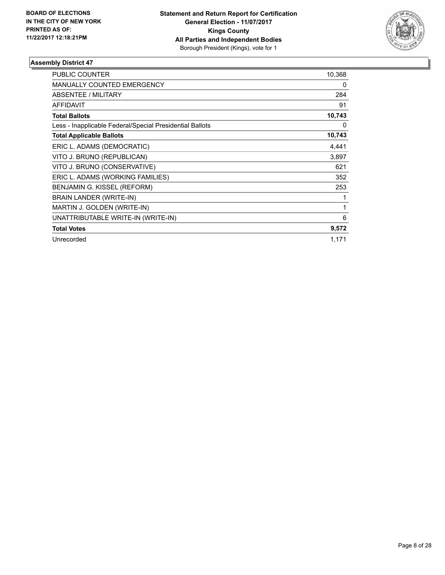

| <b>PUBLIC COUNTER</b>                                    | 10,368 |
|----------------------------------------------------------|--------|
| <b>MANUALLY COUNTED EMERGENCY</b>                        | 0      |
| ABSENTEE / MILITARY                                      | 284    |
| AFFIDAVIT                                                | 91     |
| <b>Total Ballots</b>                                     | 10,743 |
| Less - Inapplicable Federal/Special Presidential Ballots | 0      |
| <b>Total Applicable Ballots</b>                          | 10,743 |
| ERIC L. ADAMS (DEMOCRATIC)                               | 4,441  |
| VITO J. BRUNO (REPUBLICAN)                               | 3,897  |
| VITO J. BRUNO (CONSERVATIVE)                             | 621    |
| ERIC L. ADAMS (WORKING FAMILIES)                         | 352    |
| BENJAMIN G. KISSEL (REFORM)                              | 253    |
| <b>BRAIN LANDER (WRITE-IN)</b>                           | 1      |
| MARTIN J. GOLDEN (WRITE-IN)                              | 1      |
| UNATTRIBUTABLE WRITE-IN (WRITE-IN)                       | 6      |
| <b>Total Votes</b>                                       | 9,572  |
| Unrecorded                                               | 1,171  |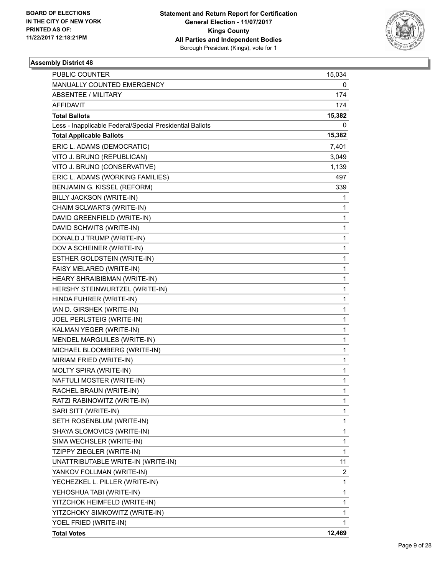

| PUBLIC COUNTER                                           | 15,034 |
|----------------------------------------------------------|--------|
| MANUALLY COUNTED EMERGENCY                               | 0      |
| <b>ABSENTEE / MILITARY</b>                               | 174    |
| AFFIDAVIT                                                | 174    |
| <b>Total Ballots</b>                                     | 15,382 |
| Less - Inapplicable Federal/Special Presidential Ballots | 0      |
| <b>Total Applicable Ballots</b>                          | 15,382 |
| ERIC L. ADAMS (DEMOCRATIC)                               | 7,401  |
| VITO J. BRUNO (REPUBLICAN)                               | 3,049  |
| VITO J. BRUNO (CONSERVATIVE)                             | 1,139  |
| ERIC L. ADAMS (WORKING FAMILIES)                         | 497    |
| BENJAMIN G. KISSEL (REFORM)                              | 339    |
| BILLY JACKSON (WRITE-IN)                                 | 1      |
| CHAIM SCLWARTS (WRITE-IN)                                | 1      |
| DAVID GREENFIELD (WRITE-IN)                              | 1      |
| DAVID SCHWITS (WRITE-IN)                                 | 1      |
| DONALD J TRUMP (WRITE-IN)                                | 1      |
| DOV A SCHEINER (WRITE-IN)                                | 1      |
| ESTHER GOLDSTEIN (WRITE-IN)                              | 1      |
| FAISY MELARED (WRITE-IN)                                 | 1      |
| HEARY SHRAIBIBMAN (WRITE-IN)                             | 1      |
| HERSHY STEINWURTZEL (WRITE-IN)                           | 1      |
| HINDA FUHRER (WRITE-IN)                                  | 1      |
| IAN D. GIRSHEK (WRITE-IN)                                | 1      |
| JOEL PERLSTEIG (WRITE-IN)                                | 1      |
| KALMAN YEGER (WRITE-IN)                                  | 1      |
| MENDEL MARGUILES (WRITE-IN)                              | 1      |
| MICHAEL BLOOMBERG (WRITE-IN)                             | 1      |
| MIRIAM FRIED (WRITE-IN)                                  | 1      |
| MOLTY SPIRA (WRITE-IN)                                   | 1      |
| NAFTULI MOSTER (WRITE-IN)                                | 1      |
| RACHEL BRAUN (WRITE-IN)                                  | 1      |
| RATZI RABINOWITZ (WRITE-IN)                              | 1      |
| SARI SITT (WRITE-IN)                                     | 1      |
| SETH ROSENBLUM (WRITE-IN)                                | 1      |
| SHAYA SLOMOVICS (WRITE-IN)                               | 1      |
| SIMA WECHSLER (WRITE-IN)                                 | 1      |
| TZIPPY ZIEGLER (WRITE-IN)                                | 1      |
| UNATTRIBUTABLE WRITE-IN (WRITE-IN)                       | 11     |
| YANKOV FOLLMAN (WRITE-IN)                                | 2      |
| YECHEZKEL L. PILLER (WRITE-IN)                           | 1      |
| YEHOSHUA TABI (WRITE-IN)                                 | 1      |
| YITZCHOK HEIMFELD (WRITE-IN)                             | 1      |
| YITZCHOKY SIMKOWITZ (WRITE-IN)                           | 1      |
| YOEL FRIED (WRITE-IN)                                    | 1      |
| <b>Total Votes</b>                                       | 12,469 |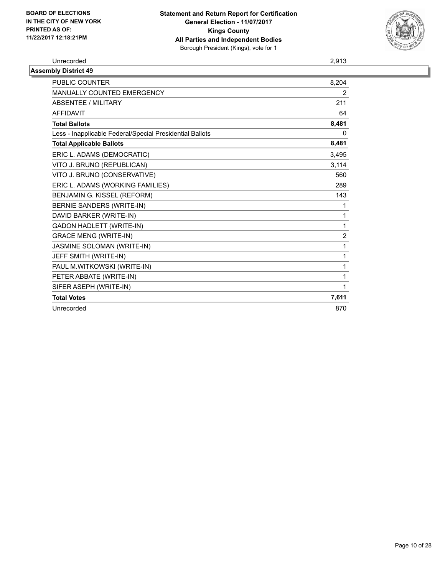

| Unrecorded                                               | 2,913          |
|----------------------------------------------------------|----------------|
| <b>Assembly District 49</b>                              |                |
| PUBLIC COUNTER                                           | 8,204          |
| <b>MANUALLY COUNTED EMERGENCY</b>                        | $\overline{2}$ |
| ABSENTEE / MILITARY                                      | 211            |
| <b>AFFIDAVIT</b>                                         | 64             |
| <b>Total Ballots</b>                                     | 8,481          |
| Less - Inapplicable Federal/Special Presidential Ballots | 0              |
| <b>Total Applicable Ballots</b>                          | 8,481          |
| ERIC L. ADAMS (DEMOCRATIC)                               | 3,495          |
| VITO J. BRUNO (REPUBLICAN)                               | 3,114          |
| VITO J. BRUNO (CONSERVATIVE)                             | 560            |
| ERIC L. ADAMS (WORKING FAMILIES)                         | 289            |
| BENJAMIN G. KISSEL (REFORM)                              | 143            |
| <b>BERNIE SANDERS (WRITE-IN)</b>                         |                |
| DAVID BARKER (WRITE-IN)                                  |                |
| <b>GADON HADLETT (WRITE-IN)</b>                          | 1              |
| <b>GRACE MENG (WRITE-IN)</b>                             | $\overline{2}$ |
| JASMINE SOLOMAN (WRITE-IN)                               |                |
| JEFF SMITH (WRITE-IN)                                    |                |
| PAUL M.WITKOWSKI (WRITE-IN)                              |                |
| PETER ABBATE (WRITE-IN)                                  |                |
| SIFER ASEPH (WRITE-IN)                                   |                |
| <b>Total Votes</b>                                       | 7,611          |
| Unrecorded                                               | 870            |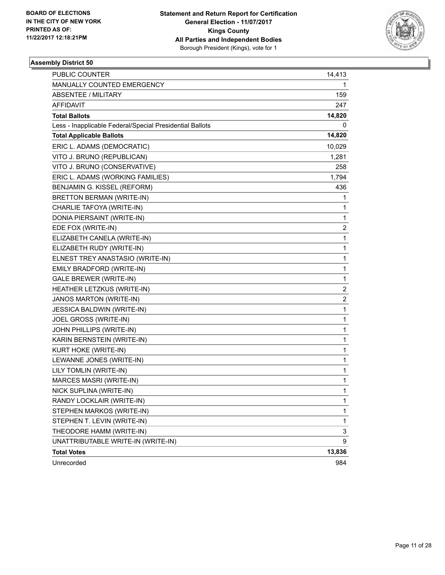

| PUBLIC COUNTER                                           | 14,413 |
|----------------------------------------------------------|--------|
| MANUALLY COUNTED EMERGENCY                               | 1      |
| ABSENTEE / MILITARY                                      | 159    |
| AFFIDAVIT                                                | 247    |
| <b>Total Ballots</b>                                     | 14,820 |
| Less - Inapplicable Federal/Special Presidential Ballots | 0      |
| <b>Total Applicable Ballots</b>                          | 14,820 |
| ERIC L. ADAMS (DEMOCRATIC)                               | 10,029 |
| VITO J. BRUNO (REPUBLICAN)                               | 1,281  |
| VITO J. BRUNO (CONSERVATIVE)                             | 258    |
| ERIC L. ADAMS (WORKING FAMILIES)                         | 1,794  |
| BENJAMIN G. KISSEL (REFORM)                              | 436    |
| BRETTON BERMAN (WRITE-IN)                                | 1      |
| CHARLIE TAFOYA (WRITE-IN)                                | 1      |
| DONIA PIERSAINT (WRITE-IN)                               | 1      |
| EDE FOX (WRITE-IN)                                       | 2      |
| ELIZABETH CANELA (WRITE-IN)                              | 1      |
| ELIZABETH RUDY (WRITE-IN)                                | 1      |
| ELNEST TREY ANASTASIO (WRITE-IN)                         | 1      |
| EMILY BRADFORD (WRITE-IN)                                | 1      |
| <b>GALE BREWER (WRITE-IN)</b>                            | 1      |
| HEATHER LETZKUS (WRITE-IN)                               | 2      |
| JANOS MARTON (WRITE-IN)                                  | 2      |
| JESSICA BALDWIN (WRITE-IN)                               | 1      |
| JOEL GROSS (WRITE-IN)                                    | 1      |
| JOHN PHILLIPS (WRITE-IN)                                 | 1      |
| KARIN BERNSTEIN (WRITE-IN)                               | 1      |
| KURT HOKE (WRITE-IN)                                     | 1      |
| LEWANNE JONES (WRITE-IN)                                 | 1      |
| LILY TOMLIN (WRITE-IN)                                   | 1      |
| MARCES MASRI (WRITE-IN)                                  | 1      |
| NICK SUPLINA (WRITE-IN)                                  | 1      |
| RANDY LOCKLAIR (WRITE-IN)                                | 1      |
| STEPHEN MARKOS (WRITE-IN)                                | 1      |
| STEPHEN T. LEVIN (WRITE-IN)                              | 1      |
| THEODORE HAMM (WRITE-IN)                                 | 3      |
| UNATTRIBUTABLE WRITE-IN (WRITE-IN)                       | 9      |
| <b>Total Votes</b>                                       | 13,836 |
| Unrecorded                                               | 984    |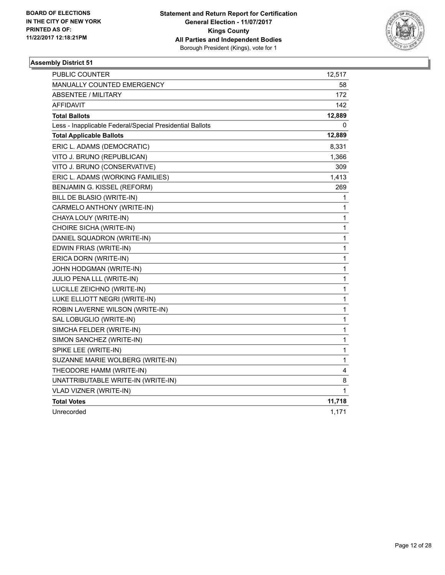

| <b>PUBLIC COUNTER</b>                                    | 12,517 |
|----------------------------------------------------------|--------|
| MANUALLY COUNTED EMERGENCY                               | 58     |
| <b>ABSENTEE / MILITARY</b>                               | 172    |
| <b>AFFIDAVIT</b>                                         | 142    |
| <b>Total Ballots</b>                                     | 12,889 |
| Less - Inapplicable Federal/Special Presidential Ballots | 0      |
| <b>Total Applicable Ballots</b>                          | 12,889 |
| ERIC L. ADAMS (DEMOCRATIC)                               | 8,331  |
| VITO J. BRUNO (REPUBLICAN)                               | 1,366  |
| VITO J. BRUNO (CONSERVATIVE)                             | 309    |
| ERIC L. ADAMS (WORKING FAMILIES)                         | 1,413  |
| BENJAMIN G. KISSEL (REFORM)                              | 269    |
| BILL DE BLASIO (WRITE-IN)                                | 1      |
| CARMELO ANTHONY (WRITE-IN)                               | 1      |
| CHAYA LOUY (WRITE-IN)                                    | 1      |
| CHOIRE SICHA (WRITE-IN)                                  | 1      |
| DANIEL SQUADRON (WRITE-IN)                               | 1      |
| EDWIN FRIAS (WRITE-IN)                                   | 1      |
| ERICA DORN (WRITE-IN)                                    | 1      |
| JOHN HODGMAN (WRITE-IN)                                  | 1      |
| JULIO PENA LLL (WRITE-IN)                                | 1      |
| LUCILLE ZEICHNO (WRITE-IN)                               | 1      |
| LUKE ELLIOTT NEGRI (WRITE-IN)                            | 1      |
| ROBIN LAVERNE WILSON (WRITE-IN)                          | 1      |
| SAL LOBUGLIO (WRITE-IN)                                  | 1      |
| SIMCHA FELDER (WRITE-IN)                                 | 1      |
| SIMON SANCHEZ (WRITE-IN)                                 | 1      |
| SPIKE LEE (WRITE-IN)                                     | 1      |
| SUZANNE MARIE WOLBERG (WRITE-IN)                         | 1      |
| THEODORE HAMM (WRITE-IN)                                 | 4      |
| UNATTRIBUTABLE WRITE-IN (WRITE-IN)                       | 8      |
| VLAD VIZNER (WRITE-IN)                                   | 1      |
| <b>Total Votes</b>                                       | 11,718 |
| Unrecorded                                               | 1,171  |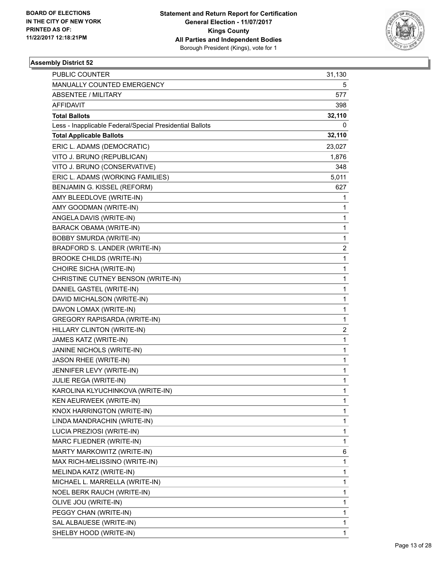

| PUBLIC COUNTER                                           | 31,130 |
|----------------------------------------------------------|--------|
| MANUALLY COUNTED EMERGENCY                               | 5      |
| <b>ABSENTEE / MILITARY</b>                               | 577    |
| <b>AFFIDAVIT</b>                                         | 398    |
| <b>Total Ballots</b>                                     | 32,110 |
| Less - Inapplicable Federal/Special Presidential Ballots | 0      |
| <b>Total Applicable Ballots</b>                          | 32,110 |
| ERIC L. ADAMS (DEMOCRATIC)                               | 23,027 |
| VITO J. BRUNO (REPUBLICAN)                               | 1,876  |
| VITO J. BRUNO (CONSERVATIVE)                             | 348    |
| ERIC L. ADAMS (WORKING FAMILIES)                         | 5,011  |
| BENJAMIN G. KISSEL (REFORM)                              | 627    |
| AMY BLEEDLOVE (WRITE-IN)                                 | 1      |
| AMY GOODMAN (WRITE-IN)                                   | 1      |
| ANGELA DAVIS (WRITE-IN)                                  | 1      |
| <b>BARACK OBAMA (WRITE-IN)</b>                           | 1      |
| BOBBY SMURDA (WRITE-IN)                                  | 1      |
| BRADFORD S. LANDER (WRITE-IN)                            | 2      |
| <b>BROOKE CHILDS (WRITE-IN)</b>                          | 1      |
| CHOIRE SICHA (WRITE-IN)                                  | 1      |
| CHRISTINE CUTNEY BENSON (WRITE-IN)                       | 1      |
| DANIEL GASTEL (WRITE-IN)                                 | 1      |
| DAVID MICHALSON (WRITE-IN)                               | 1      |
| DAVON LOMAX (WRITE-IN)                                   | 1      |
| GREGORY RAPISARDA (WRITE-IN)                             | 1      |
| HILLARY CLINTON (WRITE-IN)                               | 2      |
| JAMES KATZ (WRITE-IN)                                    | 1      |
| JANINE NICHOLS (WRITE-IN)                                | 1      |
| JASON RHEE (WRITE-IN)                                    | 1      |
| JENNIFER LEVY (WRITE-IN)                                 | 1      |
| JULIE REGA (WRITE-IN)                                    | 1      |
| KAROLINA KLYUCHINKOVA (WRITE-IN)                         | 1      |
| KEN AEURWEEK (WRITE-IN)                                  | 1      |
| KNOX HARRINGTON (WRITE-IN)                               | 1      |
| LINDA MANDRACHIN (WRITE-IN)                              | 1      |
| LUCIA PREZIOSI (WRITE-IN)                                | 1      |
| MARC FLIEDNER (WRITE-IN)                                 | 1      |
| MARTY MARKOWITZ (WRITE-IN)                               | 6      |
| MAX RICH-MELISSINO (WRITE-IN)                            | 1      |
| MELINDA KATZ (WRITE-IN)                                  | 1      |
| MICHAEL L. MARRELLA (WRITE-IN)                           | 1      |
| NOEL BERK RAUCH (WRITE-IN)                               | 1      |
| OLIVE JOU (WRITE-IN)                                     | 1      |
| PEGGY CHAN (WRITE-IN)                                    | 1      |
| SAL ALBAUESE (WRITE-IN)                                  | 1      |
| SHELBY HOOD (WRITE-IN)                                   | 1      |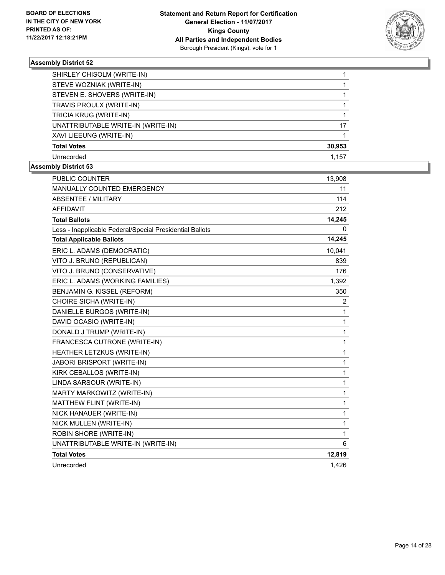

| SHIRLEY CHISOLM (WRITE-IN)         |        |
|------------------------------------|--------|
| STEVE WOZNIAK (WRITE-IN)           |        |
| STEVEN E. SHOVERS (WRITE-IN)       |        |
| TRAVIS PROULX (WRITE-IN)           |        |
| TRICIA KRUG (WRITE-IN)             |        |
| UNATTRIBUTABLE WRITE-IN (WRITE-IN) | 17     |
| XAVI LIEEUNG (WRITE-IN)            |        |
| <b>Total Votes</b>                 | 30,953 |
| Unrecorded                         | 1.157  |

| <b>PUBLIC COUNTER</b>                                    | 13,908         |
|----------------------------------------------------------|----------------|
| MANUALLY COUNTED EMERGENCY                               | 11             |
| <b>ABSENTEE / MILITARY</b>                               | 114            |
| <b>AFFIDAVIT</b>                                         | 212            |
| <b>Total Ballots</b>                                     | 14,245         |
| Less - Inapplicable Federal/Special Presidential Ballots | 0              |
| <b>Total Applicable Ballots</b>                          | 14,245         |
| ERIC L. ADAMS (DEMOCRATIC)                               | 10,041         |
| VITO J. BRUNO (REPUBLICAN)                               | 839            |
| VITO J. BRUNO (CONSERVATIVE)                             | 176            |
| ERIC L. ADAMS (WORKING FAMILIES)                         | 1,392          |
| <b>BENJAMIN G. KISSEL (REFORM)</b>                       | 350            |
| CHOIRE SICHA (WRITE-IN)                                  | $\overline{c}$ |
| DANIELLE BURGOS (WRITE-IN)                               | 1              |
| DAVID OCASIO (WRITE-IN)                                  | 1              |
| DONALD J TRUMP (WRITE-IN)                                | $\mathbf{1}$   |
| FRANCESCA CUTRONE (WRITE-IN)                             | 1              |
| HEATHER LETZKUS (WRITE-IN)                               | 1              |
| <b>JABORI BRISPORT (WRITE-IN)</b>                        | 1              |
| KIRK CEBALLOS (WRITE-IN)                                 | 1              |
| LINDA SARSOUR (WRITE-IN)                                 | 1              |
| MARTY MARKOWITZ (WRITE-IN)                               | 1              |
| MATTHEW FLINT (WRITE-IN)                                 | 1              |
| NICK HANAUER (WRITE-IN)                                  | 1              |
| NICK MULLEN (WRITE-IN)                                   | 1              |
| ROBIN SHORE (WRITE-IN)                                   | 1              |
| UNATTRIBUTABLE WRITE-IN (WRITE-IN)                       | 6              |
| <b>Total Votes</b>                                       | 12,819         |
| Unrecorded                                               | 1,426          |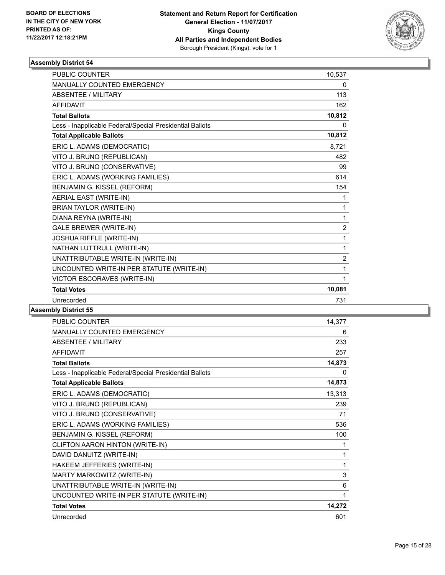

| <b>PUBLIC COUNTER</b>                                    | 10,537         |
|----------------------------------------------------------|----------------|
| <b>MANUALLY COUNTED EMERGENCY</b>                        | 0              |
| <b>ABSENTEE / MILITARY</b>                               | 113            |
| <b>AFFIDAVIT</b>                                         | 162            |
| <b>Total Ballots</b>                                     | 10,812         |
| Less - Inapplicable Federal/Special Presidential Ballots | 0              |
| <b>Total Applicable Ballots</b>                          | 10,812         |
| ERIC L. ADAMS (DEMOCRATIC)                               | 8,721          |
| VITO J. BRUNO (REPUBLICAN)                               | 482            |
| VITO J. BRUNO (CONSERVATIVE)                             | 99             |
| ERIC L. ADAMS (WORKING FAMILIES)                         | 614            |
| BENJAMIN G. KISSEL (REFORM)                              | 154            |
| AERIAL EAST (WRITE-IN)                                   | 1              |
| <b>BRIAN TAYLOR (WRITE-IN)</b>                           | 1              |
| DIANA REYNA (WRITE-IN)                                   | 1              |
| <b>GALE BREWER (WRITE-IN)</b>                            | $\overline{2}$ |
| JOSHUA RIFFLE (WRITE-IN)                                 | 1              |
| NATHAN LUTTRULL (WRITE-IN)                               | 1              |
| UNATTRIBUTABLE WRITE-IN (WRITE-IN)                       | $\overline{2}$ |
| UNCOUNTED WRITE-IN PER STATUTE (WRITE-IN)                | 1              |
| VICTOR ESCORAVES (WRITE-IN)                              | 1              |
| <b>Total Votes</b>                                       | 10,081         |
| Unrecorded                                               | 731            |

| PUBLIC COUNTER                                           | 14,377 |
|----------------------------------------------------------|--------|
| MANUALLY COUNTED EMERGENCY                               | 6      |
| ABSENTEE / MILITARY                                      | 233    |
| <b>AFFIDAVIT</b>                                         | 257    |
| <b>Total Ballots</b>                                     | 14,873 |
| Less - Inapplicable Federal/Special Presidential Ballots | 0      |
| <b>Total Applicable Ballots</b>                          | 14,873 |
| ERIC L. ADAMS (DEMOCRATIC)                               | 13,313 |
| VITO J. BRUNO (REPUBLICAN)                               | 239    |
| VITO J. BRUNO (CONSERVATIVE)                             | 71     |
| ERIC L. ADAMS (WORKING FAMILIES)                         | 536    |
| BENJAMIN G. KISSEL (REFORM)                              | 100    |
| CLIFTON AARON HINTON (WRITE-IN)                          | 1      |
| DAVID DANUITZ (WRITE-IN)                                 | 1      |
| HAKEEM JEFFERIES (WRITE-IN)                              | 1      |
| MARTY MARKOWITZ (WRITE-IN)                               | 3      |
| UNATTRIBUTABLE WRITE-IN (WRITE-IN)                       | 6      |
| UNCOUNTED WRITE-IN PER STATUTE (WRITE-IN)                | 1      |
| <b>Total Votes</b>                                       | 14,272 |
| Unrecorded                                               | 601    |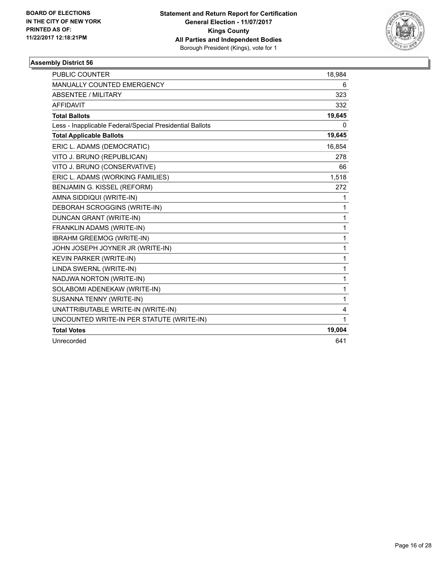

| <b>PUBLIC COUNTER</b>                                    | 18,984 |
|----------------------------------------------------------|--------|
| MANUALLY COUNTED EMERGENCY                               | 6      |
| <b>ABSENTEE / MILITARY</b>                               | 323    |
| <b>AFFIDAVIT</b>                                         | 332    |
| <b>Total Ballots</b>                                     | 19,645 |
| Less - Inapplicable Federal/Special Presidential Ballots | 0      |
| <b>Total Applicable Ballots</b>                          | 19,645 |
| ERIC L. ADAMS (DEMOCRATIC)                               | 16,854 |
| VITO J. BRUNO (REPUBLICAN)                               | 278    |
| VITO J. BRUNO (CONSERVATIVE)                             | 66     |
| ERIC L. ADAMS (WORKING FAMILIES)                         | 1,518  |
| BENJAMIN G. KISSEL (REFORM)                              | 272    |
| AMNA SIDDIQUI (WRITE-IN)                                 | 1      |
| DEBORAH SCROGGINS (WRITE-IN)                             | 1      |
| <b>DUNCAN GRANT (WRITE-IN)</b>                           | 1      |
| FRANKLIN ADAMS (WRITE-IN)                                | 1      |
| IBRAHM GREEMOG (WRITE-IN)                                | 1      |
| JOHN JOSEPH JOYNER JR (WRITE-IN)                         | 1      |
| <b>KEVIN PARKER (WRITE-IN)</b>                           | 1      |
| LINDA SWERNL (WRITE-IN)                                  | 1      |
| NADJWA NORTON (WRITE-IN)                                 | 1      |
| SOLABOMI ADENEKAW (WRITE-IN)                             | 1      |
| SUSANNA TENNY (WRITE-IN)                                 | 1      |
| UNATTRIBUTABLE WRITE-IN (WRITE-IN)                       | 4      |
| UNCOUNTED WRITE-IN PER STATUTE (WRITE-IN)                | 1      |
| <b>Total Votes</b>                                       | 19,004 |
| Unrecorded                                               | 641    |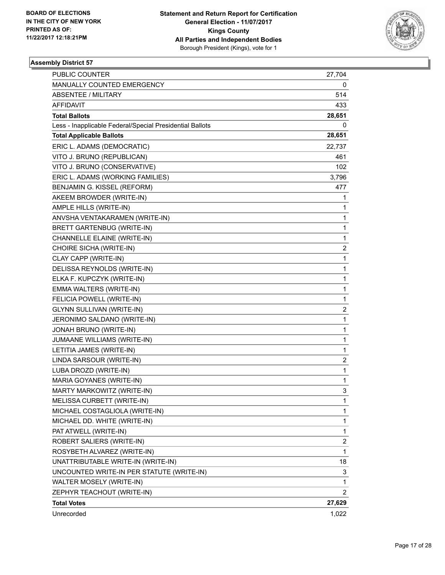

| PUBLIC COUNTER                                           | 27,704                  |
|----------------------------------------------------------|-------------------------|
| MANUALLY COUNTED EMERGENCY                               | 0                       |
| ABSENTEE / MILITARY                                      | 514                     |
| AFFIDAVIT                                                | 433                     |
| <b>Total Ballots</b>                                     | 28,651                  |
| Less - Inapplicable Federal/Special Presidential Ballots | 0                       |
| <b>Total Applicable Ballots</b>                          | 28,651                  |
| ERIC L. ADAMS (DEMOCRATIC)                               | 22,737                  |
| VITO J. BRUNO (REPUBLICAN)                               | 461                     |
| VITO J. BRUNO (CONSERVATIVE)                             | 102                     |
| ERIC L. ADAMS (WORKING FAMILIES)                         | 3,796                   |
| BENJAMIN G. KISSEL (REFORM)                              | 477                     |
| AKEEM BROWDER (WRITE-IN)                                 | 1                       |
| AMPLE HILLS (WRITE-IN)                                   | 1                       |
| ANVSHA VENTAKARAMEN (WRITE-IN)                           | 1                       |
| BRETT GARTENBUG (WRITE-IN)                               | 1                       |
| CHANNELLE ELAINE (WRITE-IN)                              | 1                       |
| CHOIRE SICHA (WRITE-IN)                                  | 2                       |
| CLAY CAPP (WRITE-IN)                                     | 1                       |
| DELISSA REYNOLDS (WRITE-IN)                              | 1                       |
| ELKA F. KUPCZYK (WRITE-IN)                               | 1                       |
| EMMA WALTERS (WRITE-IN)                                  | 1                       |
| FELICIA POWELL (WRITE-IN)                                | 1                       |
| <b>GLYNN SULLIVAN (WRITE-IN)</b>                         | 2                       |
| JERONIMO SALDANO (WRITE-IN)                              | 1                       |
| JONAH BRUNO (WRITE-IN)                                   | 1                       |
| JUMAANE WILLIAMS (WRITE-IN)                              | 1                       |
| LETITIA JAMES (WRITE-IN)                                 | 1                       |
| LINDA SARSOUR (WRITE-IN)                                 | 2                       |
| LUBA DROZD (WRITE-IN)                                    | $\mathbf{1}$            |
| MARIA GOYANES (WRITE-IN)                                 | 1                       |
| MARTY MARKOWITZ (WRITE-IN)                               | 3                       |
| MELISSA CURBETT (WRITE-IN)                               | 1                       |
| MICHAEL COSTAGLIOLA (WRITE-IN)                           | 1                       |
| MICHAEL DD. WHITE (WRITE-IN)                             | 1                       |
| PAT ATWELL (WRITE-IN)                                    | $\mathbf{1}$            |
| ROBERT SALIERS (WRITE-IN)                                | $\overline{\mathbf{c}}$ |
| ROSYBETH ALVAREZ (WRITE-IN)                              | 1                       |
| UNATTRIBUTABLE WRITE-IN (WRITE-IN)                       | 18                      |
| UNCOUNTED WRITE-IN PER STATUTE (WRITE-IN)                | 3                       |
| WALTER MOSELY (WRITE-IN)                                 | 1                       |
| ZEPHYR TEACHOUT (WRITE-IN)                               | $\overline{c}$          |
| <b>Total Votes</b>                                       | 27,629                  |
| Unrecorded                                               | 1,022                   |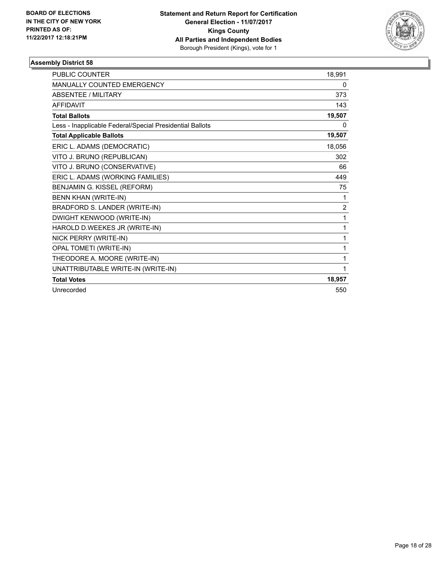

| <b>PUBLIC COUNTER</b>                                    | 18,991         |
|----------------------------------------------------------|----------------|
| MANUALLY COUNTED EMERGENCY                               | 0              |
| <b>ABSENTEE / MILITARY</b>                               | 373            |
| <b>AFFIDAVIT</b>                                         | 143            |
| <b>Total Ballots</b>                                     | 19,507         |
| Less - Inapplicable Federal/Special Presidential Ballots | 0              |
| <b>Total Applicable Ballots</b>                          | 19,507         |
| ERIC L. ADAMS (DEMOCRATIC)                               | 18,056         |
| VITO J. BRUNO (REPUBLICAN)                               | 302            |
| VITO J. BRUNO (CONSERVATIVE)                             | 66             |
| ERIC L. ADAMS (WORKING FAMILIES)                         | 449            |
| BENJAMIN G. KISSEL (REFORM)                              | 75             |
| BENN KHAN (WRITE-IN)                                     | 1              |
| BRADFORD S. LANDER (WRITE-IN)                            | $\overline{2}$ |
| DWIGHT KENWOOD (WRITE-IN)                                | 1              |
| HAROLD D.WEEKES JR (WRITE-IN)                            | 1              |
| NICK PERRY (WRITE-IN)                                    | 1              |
| <b>OPAL TOMETI (WRITE-IN)</b>                            | 1              |
| THEODORE A. MOORE (WRITE-IN)                             | 1              |
| UNATTRIBUTABLE WRITE-IN (WRITE-IN)                       | 1              |
| <b>Total Votes</b>                                       | 18,957         |
| Unrecorded                                               | 550            |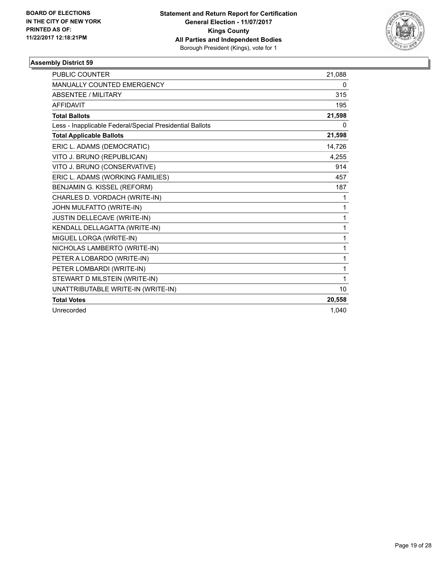

| <b>PUBLIC COUNTER</b>                                    | 21,088       |
|----------------------------------------------------------|--------------|
| <b>MANUALLY COUNTED EMERGENCY</b>                        | 0            |
| <b>ABSENTEE / MILITARY</b>                               | 315          |
| <b>AFFIDAVIT</b>                                         | 195          |
| <b>Total Ballots</b>                                     | 21,598       |
| Less - Inapplicable Federal/Special Presidential Ballots | 0            |
| <b>Total Applicable Ballots</b>                          | 21,598       |
| ERIC L. ADAMS (DEMOCRATIC)                               | 14,726       |
| VITO J. BRUNO (REPUBLICAN)                               | 4,255        |
| VITO J. BRUNO (CONSERVATIVE)                             | 914          |
| ERIC L. ADAMS (WORKING FAMILIES)                         | 457          |
| BENJAMIN G. KISSEL (REFORM)                              | 187          |
| CHARLES D. VORDACH (WRITE-IN)                            | 1            |
| JOHN MULFATTO (WRITE-IN)                                 | 1            |
| JUSTIN DELLECAVE (WRITE-IN)                              | 1            |
| KENDALL DELLAGATTA (WRITE-IN)                            | 1            |
| MIGUEL LORGA (WRITE-IN)                                  | 1            |
| NICHOLAS LAMBERTO (WRITE-IN)                             | $\mathbf{1}$ |
| PETER A LOBARDO (WRITE-IN)                               | $\mathbf 1$  |
| PETER LOMBARDI (WRITE-IN)                                | 1            |
| STEWART D MILSTEIN (WRITE-IN)                            | 1            |
| UNATTRIBUTABLE WRITE-IN (WRITE-IN)                       | 10           |
| <b>Total Votes</b>                                       | 20,558       |
| Unrecorded                                               | 1.040        |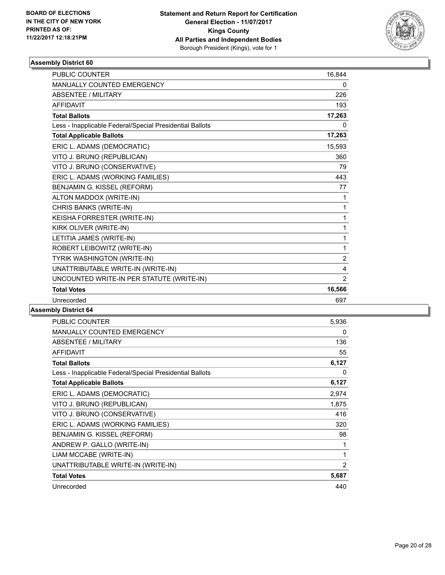

| <b>PUBLIC COUNTER</b>                                    | 16.844         |
|----------------------------------------------------------|----------------|
| <b>MANUALLY COUNTED EMERGENCY</b>                        | 0              |
| <b>ABSENTEE / MILITARY</b>                               | 226            |
| <b>AFFIDAVIT</b>                                         | 193            |
| <b>Total Ballots</b>                                     | 17,263         |
| Less - Inapplicable Federal/Special Presidential Ballots | 0              |
| <b>Total Applicable Ballots</b>                          | 17,263         |
| ERIC L. ADAMS (DEMOCRATIC)                               | 15,593         |
| VITO J. BRUNO (REPUBLICAN)                               | 360            |
| VITO J. BRUNO (CONSERVATIVE)                             | 79             |
| ERIC L. ADAMS (WORKING FAMILIES)                         | 443            |
| BENJAMIN G. KISSEL (REFORM)                              | 77             |
| ALTON MADDOX (WRITE-IN)                                  | 1              |
| CHRIS BANKS (WRITE-IN)                                   | 1              |
| KEISHA FORRESTER (WRITE-IN)                              | 1              |
| KIRK OLIVER (WRITE-IN)                                   | 1              |
| LETITIA JAMES (WRITE-IN)                                 | 1              |
| ROBERT LEIBOWITZ (WRITE-IN)                              | 1              |
| TYRIK WASHINGTON (WRITE-IN)                              | $\overline{2}$ |
| UNATTRIBUTABLE WRITE-IN (WRITE-IN)                       | 4              |
| UNCOUNTED WRITE-IN PER STATUTE (WRITE-IN)                | $\overline{2}$ |
| <b>Total Votes</b>                                       | 16,566         |
| Unrecorded                                               | 697            |

| PUBLIC COUNTER                                           | 5,936          |
|----------------------------------------------------------|----------------|
| <b>MANUALLY COUNTED EMERGENCY</b>                        | 0              |
| ABSENTEE / MILITARY                                      | 136            |
| <b>AFFIDAVIT</b>                                         | 55             |
| <b>Total Ballots</b>                                     | 6,127          |
| Less - Inapplicable Federal/Special Presidential Ballots | 0              |
| <b>Total Applicable Ballots</b>                          | 6,127          |
| ERIC L. ADAMS (DEMOCRATIC)                               | 2,974          |
| VITO J. BRUNO (REPUBLICAN)                               | 1,875          |
| VITO J. BRUNO (CONSERVATIVE)                             | 416            |
| ERIC L. ADAMS (WORKING FAMILIES)                         | 320            |
| BENJAMIN G. KISSEL (REFORM)                              | 98             |
| ANDREW P. GALLO (WRITE-IN)                               | 1              |
| LIAM MCCABE (WRITE-IN)                                   | 1              |
| UNATTRIBUTABLE WRITE-IN (WRITE-IN)                       | $\overline{2}$ |
| <b>Total Votes</b>                                       | 5,687          |
| Unrecorded                                               | 440            |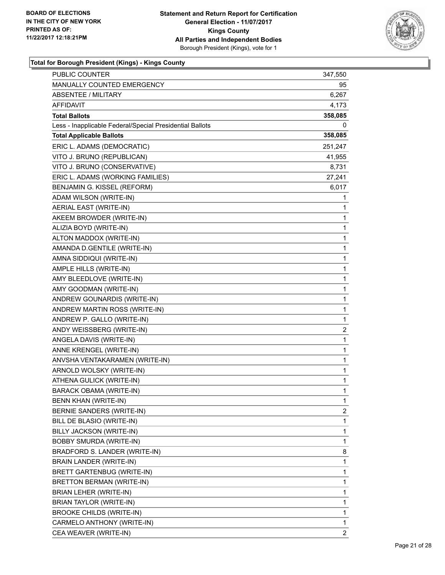

| PUBLIC COUNTER                                           | 347,550                 |
|----------------------------------------------------------|-------------------------|
| MANUALLY COUNTED EMERGENCY                               | 95                      |
| <b>ABSENTEE / MILITARY</b>                               | 6,267                   |
| AFFIDAVIT                                                | 4,173                   |
| <b>Total Ballots</b>                                     | 358,085                 |
| Less - Inapplicable Federal/Special Presidential Ballots | 0                       |
| <b>Total Applicable Ballots</b>                          | 358,085                 |
| ERIC L. ADAMS (DEMOCRATIC)                               | 251,247                 |
| VITO J. BRUNO (REPUBLICAN)                               | 41,955                  |
| VITO J. BRUNO (CONSERVATIVE)                             | 8,731                   |
| ERIC L. ADAMS (WORKING FAMILIES)                         | 27,241                  |
| BENJAMIN G. KISSEL (REFORM)                              | 6,017                   |
| ADAM WILSON (WRITE-IN)                                   | 1                       |
| AERIAL EAST (WRITE-IN)                                   | 1                       |
| AKEEM BROWDER (WRITE-IN)                                 | 1                       |
| ALIZIA BOYD (WRITE-IN)                                   | 1                       |
| ALTON MADDOX (WRITE-IN)                                  | 1                       |
| AMANDA D.GENTILE (WRITE-IN)                              | 1                       |
| AMNA SIDDIQUI (WRITE-IN)                                 | 1                       |
| AMPLE HILLS (WRITE-IN)                                   | 1                       |
| AMY BLEEDLOVE (WRITE-IN)                                 | 1                       |
| AMY GOODMAN (WRITE-IN)                                   | 1                       |
| ANDREW GOUNARDIS (WRITE-IN)                              | 1                       |
| ANDREW MARTIN ROSS (WRITE-IN)                            | 1                       |
| ANDREW P. GALLO (WRITE-IN)                               | 1                       |
| ANDY WEISSBERG (WRITE-IN)                                | $\overline{\mathbf{c}}$ |
| ANGELA DAVIS (WRITE-IN)                                  | 1                       |
| ANNE KRENGEL (WRITE-IN)                                  | 1                       |
| ANVSHA VENTAKARAMEN (WRITE-IN)                           | 1                       |
| ARNOLD WOLSKY (WRITE-IN)                                 | 1                       |
| ATHENA GULICK (WRITE-IN)                                 | $\mathbf{1}$            |
| <b>BARACK OBAMA (WRITE-IN)</b>                           | $\mathbf{1}$            |
| <b>BENN KHAN (WRITE-IN)</b>                              | 1                       |
| BERNIE SANDERS (WRITE-IN)                                | 2                       |
| BILL DE BLASIO (WRITE-IN)                                | 1                       |
| BILLY JACKSON (WRITE-IN)                                 | 1                       |
| <b>BOBBY SMURDA (WRITE-IN)</b>                           | 1                       |
| BRADFORD S. LANDER (WRITE-IN)                            | 8                       |
| BRAIN LANDER (WRITE-IN)                                  | 1                       |
| BRETT GARTENBUG (WRITE-IN)                               | 1                       |
| BRETTON BERMAN (WRITE-IN)                                | 1                       |
| BRIAN LEHER (WRITE-IN)                                   | 1                       |
| BRIAN TAYLOR (WRITE-IN)                                  | 1                       |
| BROOKE CHILDS (WRITE-IN)                                 | 1                       |
| CARMELO ANTHONY (WRITE-IN)                               | 1                       |
| CEA WEAVER (WRITE-IN)                                    | 2                       |
|                                                          |                         |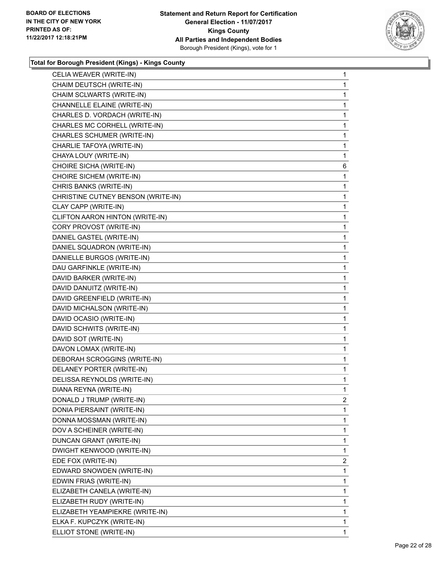

| CELIA WEAVER (WRITE-IN)            | $\mathbf{1}$ |
|------------------------------------|--------------|
| CHAIM DEUTSCH (WRITE-IN)           | $\mathbf{1}$ |
| CHAIM SCLWARTS (WRITE-IN)          | 1            |
| CHANNELLE ELAINE (WRITE-IN)        | 1            |
| CHARLES D. VORDACH (WRITE-IN)      | 1            |
| CHARLES MC CORHELL (WRITE-IN)      | 1            |
| CHARLES SCHUMER (WRITE-IN)         | 1            |
| CHARLIE TAFOYA (WRITE-IN)          | $\mathbf{1}$ |
| CHAYA LOUY (WRITE-IN)              | 1            |
| CHOIRE SICHA (WRITE-IN)            | 6            |
| CHOIRE SICHEM (WRITE-IN)           | 1            |
| CHRIS BANKS (WRITE-IN)             | 1            |
| CHRISTINE CUTNEY BENSON (WRITE-IN) | 1            |
| CLAY CAPP (WRITE-IN)               | $\mathbf{1}$ |
| CLIFTON AARON HINTON (WRITE-IN)    | 1            |
| CORY PROVOST (WRITE-IN)            | 1            |
| DANIEL GASTEL (WRITE-IN)           | 1            |
| DANIEL SQUADRON (WRITE-IN)         | 1            |
| DANIELLE BURGOS (WRITE-IN)         | 1            |
| DAU GARFINKLE (WRITE-IN)           | $\mathbf{1}$ |
| DAVID BARKER (WRITE-IN)            | 1            |
| DAVID DANUITZ (WRITE-IN)           | 1            |
| DAVID GREENFIELD (WRITE-IN)        | 1            |
| DAVID MICHALSON (WRITE-IN)         | 1            |
| DAVID OCASIO (WRITE-IN)            | 1            |
| DAVID SCHWITS (WRITE-IN)           | $\mathbf{1}$ |
| DAVID SOT (WRITE-IN)               | 1            |
| DAVON LOMAX (WRITE-IN)             | 1            |
| DEBORAH SCROGGINS (WRITE-IN)       | $\mathbf{1}$ |
| DELANEY PORTER (WRITE-IN)          | 1            |
| DELISSA REYNOLDS (WRITE-IN)        | 1            |
| DIANA REYNA (WRITE-IN)             | 1            |
| DONALD J TRUMP (WRITE-IN)          | 2            |
| DONIA PIERSAINT (WRITE-IN)         | 1            |
| DONNA MOSSMAN (WRITE-IN)           | 1            |
| DOV A SCHEINER (WRITE-IN)          | 1            |
| DUNCAN GRANT (WRITE-IN)            | 1            |
| DWIGHT KENWOOD (WRITE-IN)          | 1            |
| EDE FOX (WRITE-IN)                 | 2            |
| EDWARD SNOWDEN (WRITE-IN)          | 1            |
| EDWIN FRIAS (WRITE-IN)             | 1            |
| ELIZABETH CANELA (WRITE-IN)        | 1            |
| ELIZABETH RUDY (WRITE-IN)          | 1            |
| ELIZABETH YEAMPIEKRE (WRITE-IN)    | 1            |
| ELKA F. KUPCZYK (WRITE-IN)         | 1            |
| ELLIOT STONE (WRITE-IN)            | 1            |
|                                    |              |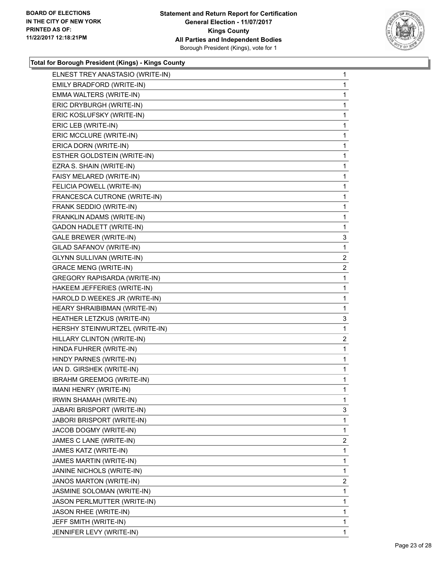

| ELNEST TREY ANASTASIO (WRITE-IN)    | $\mathbf{1}$   |
|-------------------------------------|----------------|
| EMILY BRADFORD (WRITE-IN)           | 1              |
| EMMA WALTERS (WRITE-IN)             | 1              |
| ERIC DRYBURGH (WRITE-IN)            | 1              |
| ERIC KOSLUFSKY (WRITE-IN)           | 1              |
| ERIC LEB (WRITE-IN)                 | 1              |
| ERIC MCCLURE (WRITE-IN)             | 1              |
| ERICA DORN (WRITE-IN)               | 1              |
| ESTHER GOLDSTEIN (WRITE-IN)         | 1              |
| EZRA S. SHAIN (WRITE-IN)            | 1              |
| FAISY MELARED (WRITE-IN)            | 1              |
| FELICIA POWELL (WRITE-IN)           | 1              |
| FRANCESCA CUTRONE (WRITE-IN)        | 1              |
| FRANK SEDDIO (WRITE-IN)             | 1              |
| FRANKLIN ADAMS (WRITE-IN)           | 1              |
| <b>GADON HADLETT (WRITE-IN)</b>     | 1              |
| GALE BREWER (WRITE-IN)              | 3              |
| GILAD SAFANOV (WRITE-IN)            | 1              |
| <b>GLYNN SULLIVAN (WRITE-IN)</b>    | 2              |
| <b>GRACE MENG (WRITE-IN)</b>        | $\mathbf{2}$   |
| <b>GREGORY RAPISARDA (WRITE-IN)</b> | 1              |
| HAKEEM JEFFERIES (WRITE-IN)         | 1              |
| HAROLD D.WEEKES JR (WRITE-IN)       | 1              |
| HEARY SHRAIBIBMAN (WRITE-IN)        | 1              |
| HEATHER LETZKUS (WRITE-IN)          | 3              |
| HERSHY STEINWURTZEL (WRITE-IN)      | 1              |
| HILLARY CLINTON (WRITE-IN)          | $\overline{2}$ |
| HINDA FUHRER (WRITE-IN)             | 1              |
| HINDY PARNES (WRITE-IN)             | 1              |
| IAN D. GIRSHEK (WRITE-IN)           | 1              |
| IBRAHM GREEMOG (WRITE-IN)           | 1              |
| IMANI HENRY (WRITE-IN)              | 1              |
| IRWIN SHAMAH (WRITE-IN)             | 1              |
| JABARI BRISPORT (WRITE-IN)          | 3              |
| JABORI BRISPORT (WRITE-IN)          | 1              |
| JACOB DOGMY (WRITE-IN)              | 1              |
| JAMES C LANE (WRITE-IN)             | 2              |
| JAMES KATZ (WRITE-IN)               | 1              |
| JAMES MARTIN (WRITE-IN)             | 1              |
| JANINE NICHOLS (WRITE-IN)           | 1              |
| JANOS MARTON (WRITE-IN)             | 2              |
| JASMINE SOLOMAN (WRITE-IN)          | 1              |
| JASON PERLMUTTER (WRITE-IN)         | 1              |
| JASON RHEE (WRITE-IN)               | 1              |
| JEFF SMITH (WRITE-IN)               | 1              |
| JENNIFER LEVY (WRITE-IN)            | 1              |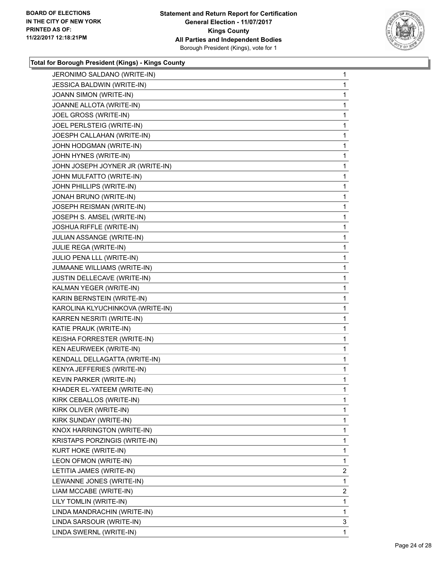

| JERONIMO SALDANO (WRITE-IN)      | 1            |
|----------------------------------|--------------|
| JESSICA BALDWIN (WRITE-IN)       | 1            |
| JOANN SIMON (WRITE-IN)           | 1            |
| JOANNE ALLOTA (WRITE-IN)         | 1            |
| JOEL GROSS (WRITE-IN)            | 1            |
| JOEL PERLSTEIG (WRITE-IN)        | 1            |
| JOESPH CALLAHAN (WRITE-IN)       | 1            |
| JOHN HODGMAN (WRITE-IN)          | 1            |
| JOHN HYNES (WRITE-IN)            | 1            |
| JOHN JOSEPH JOYNER JR (WRITE-IN) | 1            |
| JOHN MULFATTO (WRITE-IN)         | 1            |
| JOHN PHILLIPS (WRITE-IN)         | 1            |
| JONAH BRUNO (WRITE-IN)           | 1            |
| JOSEPH REISMAN (WRITE-IN)        | 1            |
| JOSEPH S. AMSEL (WRITE-IN)       | 1            |
| JOSHUA RIFFLE (WRITE-IN)         | 1            |
| JULIAN ASSANGE (WRITE-IN)        | 1            |
| JULIE REGA (WRITE-IN)            | 1            |
| JULIO PENA LLL (WRITE-IN)        | 1            |
| JUMAANE WILLIAMS (WRITE-IN)      | 1            |
| JUSTIN DELLECAVE (WRITE-IN)      | 1            |
| KALMAN YEGER (WRITE-IN)          | 1            |
| KARIN BERNSTEIN (WRITE-IN)       | 1            |
| KAROLINA KLYUCHINKOVA (WRITE-IN) | 1            |
| KARREN NESRITI (WRITE-IN)        | 1            |
| KATIE PRAUK (WRITE-IN)           | 1            |
| KEISHA FORRESTER (WRITE-IN)      | 1            |
| KEN AEURWEEK (WRITE-IN)          | 1            |
| KENDALL DELLAGATTA (WRITE-IN)    | 1            |
| KENYA JEFFERIES (WRITE-IN)       | $\mathbf{1}$ |
| KEVIN PARKER (WRITE-IN)          | 1            |
| KHADER EL-YATEEM (WRITE-IN)      | 1            |
| KIRK CEBALLOS (WRITE-IN)         | 1            |
| KIRK OLIVER (WRITE-IN)           | 1            |
| KIRK SUNDAY (WRITE-IN)           | 1            |
| KNOX HARRINGTON (WRITE-IN)       | 1            |
| KRISTAPS PORZINGIS (WRITE-IN)    | 1            |
| <b>KURT HOKE (WRITE-IN)</b>      | 1            |
| LEON OFMON (WRITE-IN)            | 1            |
| LETITIA JAMES (WRITE-IN)         | 2            |
| LEWANNE JONES (WRITE-IN)         | 1            |
| LIAM MCCABE (WRITE-IN)           | 2            |
| LILY TOMLIN (WRITE-IN)           | 1            |
| LINDA MANDRACHIN (WRITE-IN)      | 1            |
| LINDA SARSOUR (WRITE-IN)         | 3            |
| LINDA SWERNL (WRITE-IN)          | 1            |
|                                  |              |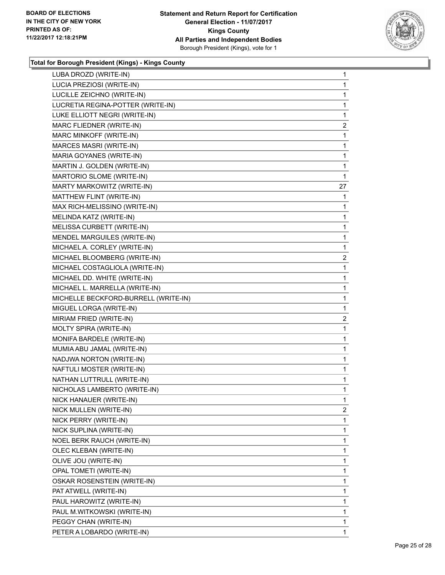

| LUBA DROZD (WRITE-IN)                | $\mathbf{1}$   |
|--------------------------------------|----------------|
| LUCIA PREZIOSI (WRITE-IN)            | $\mathbf{1}$   |
| LUCILLE ZEICHNO (WRITE-IN)           | $\mathbf{1}$   |
| LUCRETIA REGINA-POTTER (WRITE-IN)    | 1              |
| LUKE ELLIOTT NEGRI (WRITE-IN)        | 1              |
| MARC FLIEDNER (WRITE-IN)             | $\overline{a}$ |
| MARC MINKOFF (WRITE-IN)              | $\mathbf{1}$   |
| MARCES MASRI (WRITE-IN)              | $\mathbf 1$    |
| MARIA GOYANES (WRITE-IN)             | $\mathbf 1$    |
| MARTIN J. GOLDEN (WRITE-IN)          | 1              |
| MARTORIO SLOME (WRITE-IN)            | 1              |
| MARTY MARKOWITZ (WRITE-IN)           | 27             |
| MATTHEW FLINT (WRITE-IN)             | 1              |
| MAX RICH-MELISSINO (WRITE-IN)        | 1              |
| MELINDA KATZ (WRITE-IN)              | 1              |
| MELISSA CURBETT (WRITE-IN)           | 1              |
| MENDEL MARGUILES (WRITE-IN)          | 1              |
| MICHAEL A. CORLEY (WRITE-IN)         | $\mathbf 1$    |
| MICHAEL BLOOMBERG (WRITE-IN)         | 2              |
| MICHAEL COSTAGLIOLA (WRITE-IN)       | $\mathbf 1$    |
| MICHAEL DD. WHITE (WRITE-IN)         | 1              |
| MICHAEL L. MARRELLA (WRITE-IN)       | 1              |
| MICHELLE BECKFORD-BURRELL (WRITE-IN) | $\mathbf{1}$   |
| MIGUEL LORGA (WRITE-IN)              | $\mathbf 1$    |
| MIRIAM FRIED (WRITE-IN)              | 2              |
| MOLTY SPIRA (WRITE-IN)               | $\mathbf 1$    |
| MONIFA BARDELE (WRITE-IN)            | 1              |
| MUMIA ABU JAMAL (WRITE-IN)           | 1              |
| NADJWA NORTON (WRITE-IN)             | 1              |
| NAFTULI MOSTER (WRITE-IN)            | $\mathbf 1$    |
| NATHAN LUTTRULL (WRITE-IN)           | $\mathbf{1}$   |
| NICHOLAS LAMBERTO (WRITE-IN)         | 1              |
| NICK HANAUER (WRITE-IN)              | 1              |
| NICK MULLEN (WRITE-IN)               | 2              |
| NICK PERRY (WRITE-IN)                | 1              |
| NICK SUPLINA (WRITE-IN)              | 1              |
| NOEL BERK RAUCH (WRITE-IN)           | 1              |
| OLEC KLEBAN (WRITE-IN)               | 1              |
| OLIVE JOU (WRITE-IN)                 | 1              |
| OPAL TOMETI (WRITE-IN)               | 1              |
| OSKAR ROSENSTEIN (WRITE-IN)          | 1              |
| PAT ATWELL (WRITE-IN)                | 1              |
| PAUL HAROWITZ (WRITE-IN)             | 1              |
| PAUL M.WITKOWSKI (WRITE-IN)          | 1              |
| PEGGY CHAN (WRITE-IN)                | 1              |
| PETER A LOBARDO (WRITE-IN)           | $\mathbf{1}$   |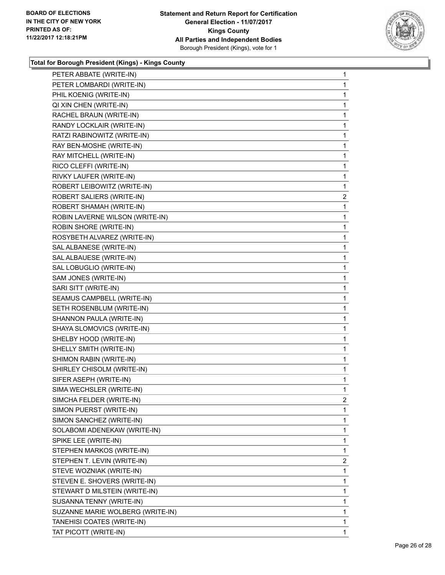

| PETER ABBATE (WRITE-IN)          | 1            |
|----------------------------------|--------------|
| PETER LOMBARDI (WRITE-IN)        | 1            |
| PHIL KOENIG (WRITE-IN)           | 1            |
| QI XIN CHEN (WRITE-IN)           | 1            |
| RACHEL BRAUN (WRITE-IN)          | 1            |
| RANDY LOCKLAIR (WRITE-IN)        | 1            |
| RATZI RABINOWITZ (WRITE-IN)      | 1            |
| RAY BEN-MOSHE (WRITE-IN)         | 1            |
| RAY MITCHELL (WRITE-IN)          | 1            |
| RICO CLEFFI (WRITE-IN)           | 1            |
| RIVKY LAUFER (WRITE-IN)          | 1            |
| ROBERT LEIBOWITZ (WRITE-IN)      | 1            |
| ROBERT SALIERS (WRITE-IN)        | $\mathbf{2}$ |
| ROBERT SHAMAH (WRITE-IN)         | 1            |
| ROBIN LAVERNE WILSON (WRITE-IN)  | 1            |
| ROBIN SHORE (WRITE-IN)           | 1            |
| ROSYBETH ALVAREZ (WRITE-IN)      | 1            |
| SAL ALBANESE (WRITE-IN)          | 1            |
| SAL ALBAUESE (WRITE-IN)          | 1            |
| SAL LOBUGLIO (WRITE-IN)          | 1            |
| SAM JONES (WRITE-IN)             | 1            |
| SARI SITT (WRITE-IN)             | 1            |
| SEAMUS CAMPBELL (WRITE-IN)       | 1            |
| SETH ROSENBLUM (WRITE-IN)        | 1            |
| SHANNON PAULA (WRITE-IN)         | 1            |
| SHAYA SLOMOVICS (WRITE-IN)       | 1            |
| SHELBY HOOD (WRITE-IN)           | 1            |
| SHELLY SMITH (WRITE-IN)          | 1            |
| SHIMON RABIN (WRITE-IN)          | 1            |
| SHIRLEY CHISOLM (WRITE-IN)       | 1            |
| SIFER ASEPH (WRITE-IN)           | 1            |
| SIMA WECHSLER (WRITE-IN)         | 1            |
| SIMCHA FELDER (WRITE-IN)         | 2            |
| SIMON PUERST (WRITE-IN)          | 1            |
| SIMON SANCHEZ (WRITE-IN)         | 1            |
| SOLABOMI ADENEKAW (WRITE-IN)     | 1            |
| SPIKE LEE (WRITE-IN)             | 1            |
| STEPHEN MARKOS (WRITE-IN)        | 1            |
| STEPHEN T. LEVIN (WRITE-IN)      | 2            |
| STEVE WOZNIAK (WRITE-IN)         | 1            |
| STEVEN E. SHOVERS (WRITE-IN)     | 1            |
| STEWART D MILSTEIN (WRITE-IN)    | 1            |
| SUSANNA TENNY (WRITE-IN)         | 1            |
| SUZANNE MARIE WOLBERG (WRITE-IN) | 1            |
| TANEHISI COATES (WRITE-IN)       | 1            |
| TAT PICOTT (WRITE-IN)            | $\mathbf 1$  |
|                                  |              |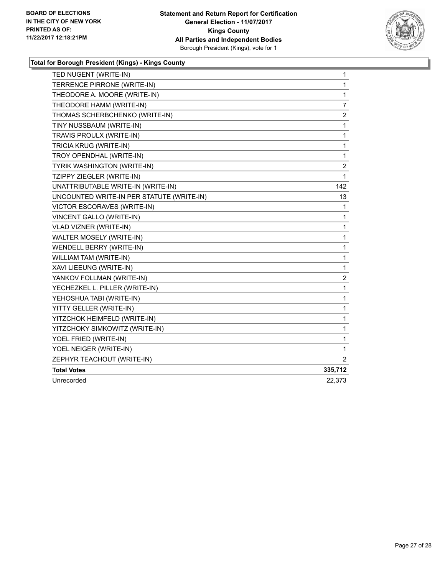

| TED NUGENT (WRITE-IN)                     | 1              |
|-------------------------------------------|----------------|
| TERRENCE PIRRONE (WRITE-IN)               | 1              |
| THEODORE A. MOORE (WRITE-IN)              | 1              |
| THEODORE HAMM (WRITE-IN)                  | $\overline{7}$ |
| THOMAS SCHERBCHENKO (WRITE-IN)            | 2              |
| TINY NUSSBAUM (WRITE-IN)                  | 1              |
| TRAVIS PROULX (WRITE-IN)                  | 1              |
| TRICIA KRUG (WRITE-IN)                    | 1              |
| TROY OPENDHAL (WRITE-IN)                  | 1              |
| TYRIK WASHINGTON (WRITE-IN)               | 2              |
| TZIPPY ZIEGLER (WRITE-IN)                 | 1              |
| UNATTRIBUTABLE WRITE-IN (WRITE-IN)        | 142            |
| UNCOUNTED WRITE-IN PER STATUTE (WRITE-IN) | 13             |
| VICTOR ESCORAVES (WRITE-IN)               | 1              |
| VINCENT GALLO (WRITE-IN)                  | 1              |
| <b>VLAD VIZNER (WRITE-IN)</b>             | 1              |
| WALTER MOSELY (WRITE-IN)                  | 1              |
| <b>WENDELL BERRY (WRITE-IN)</b>           | 1              |
| WILLIAM TAM (WRITE-IN)                    | 1              |
| XAVI LIEEUNG (WRITE-IN)                   | 1              |
| YANKOV FOLLMAN (WRITE-IN)                 | 2              |
| YECHEZKEL L. PILLER (WRITE-IN)            | 1              |
| YEHOSHUA TABI (WRITE-IN)                  | 1              |
| YITTY GELLER (WRITE-IN)                   | 1              |
| YITZCHOK HEIMFELD (WRITE-IN)              | 1              |
| YITZCHOKY SIMKOWITZ (WRITE-IN)            | 1              |
| YOEL FRIED (WRITE-IN)                     | 1              |
| YOEL NEIGER (WRITE-IN)                    | 1              |
| ZEPHYR TEACHOUT (WRITE-IN)                | $\overline{2}$ |
| <b>Total Votes</b>                        | 335,712        |
| Unrecorded                                | 22,373         |